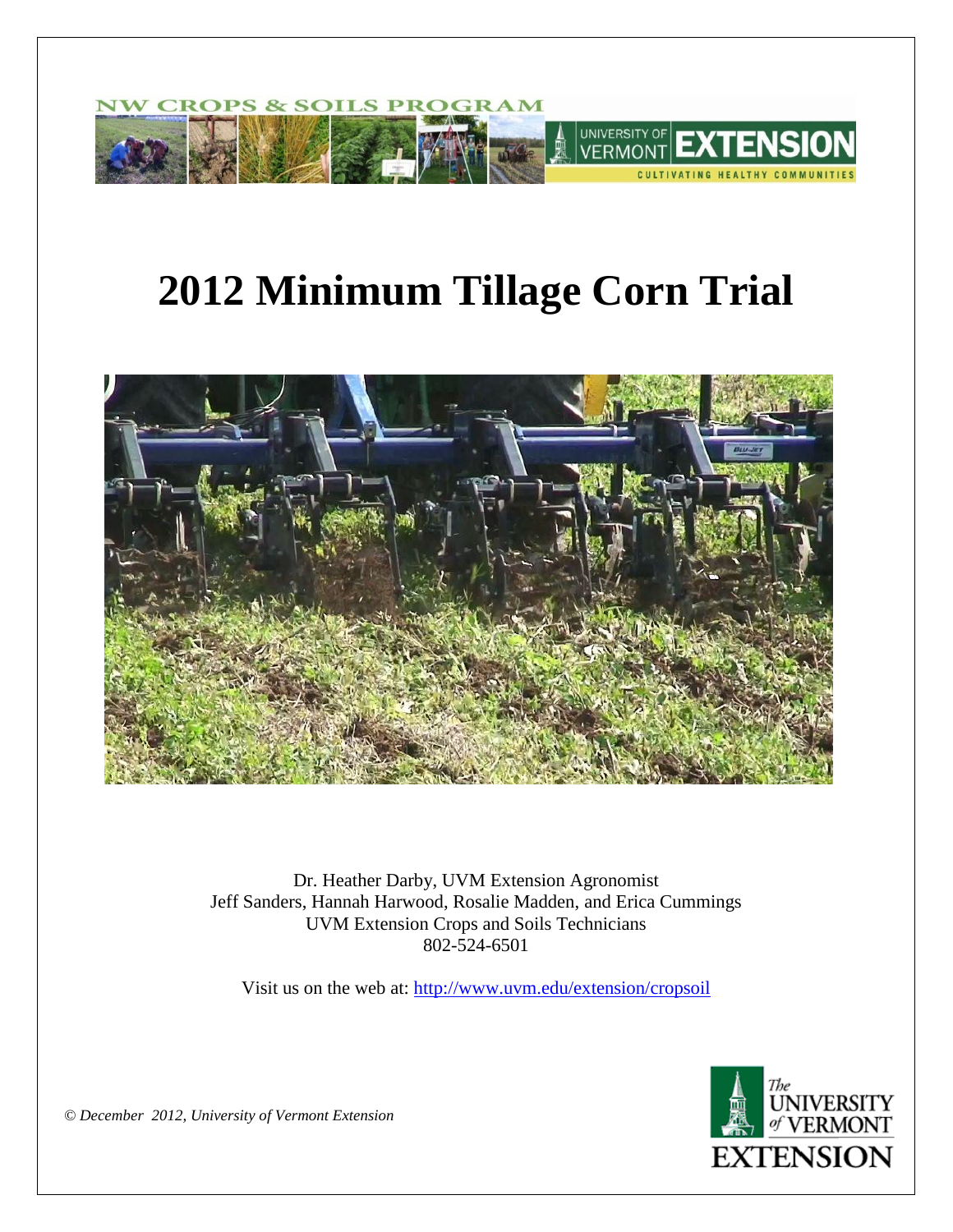

# **2012 Minimum Tillage Corn Trial**



Dr. Heather Darby, UVM Extension Agronomist Jeff Sanders, Hannah Harwood, Rosalie Madden, and Erica Cummings UVM Extension Crops and Soils Technicians 802-524-6501

Visit us on the web at: <http://www.uvm.edu/extension/cropsoil>



*© December 2012, University of Vermont Extension*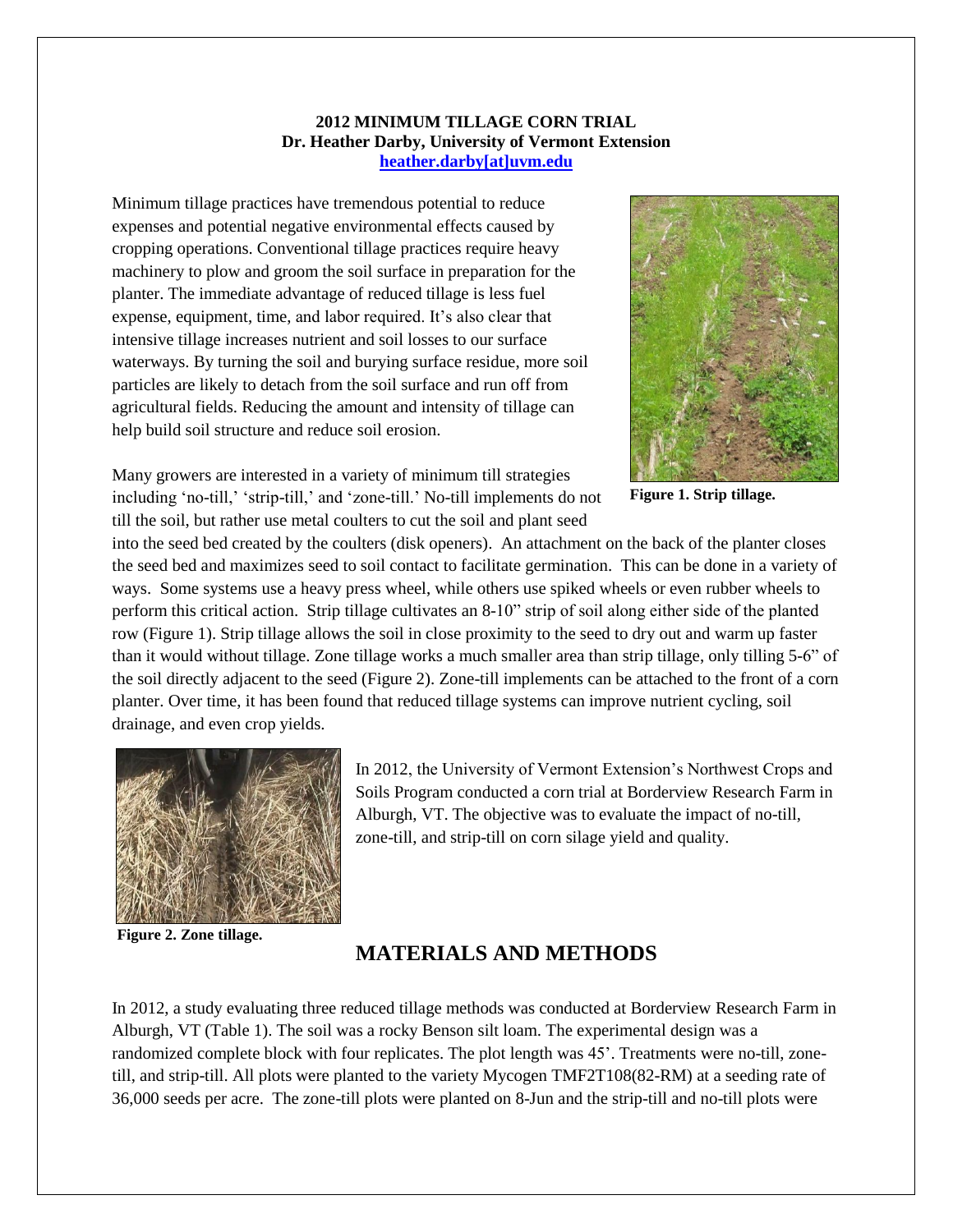#### **2012 MINIMUM TILLAGE CORN TRIAL Dr. Heather Darby, University of Vermont Extension [heather.darby\[at\]uvm.edu](mailto:heather.darby@uvm.edu)**

Minimum tillage practices have tremendous potential to reduce expenses and potential negative environmental effects caused by cropping operations. Conventional tillage practices require heavy machinery to plow and groom the soil surface in preparation for the planter. The immediate advantage of reduced tillage is less fuel expense, equipment, time, and labor required. It's also clear that intensive tillage increases nutrient and soil losses to our surface waterways. By turning the soil and burying surface residue, more soil particles are likely to detach from the soil surface and run off from agricultural fields. Reducing the amount and intensity of tillage can help build soil structure and reduce soil erosion.



**Figure 1. Strip tillage.**

Many growers are interested in a variety of minimum till strategies including 'no-till,' 'strip-till,' and 'zone-till.' No-till implements do not till the soil, but rather use metal coulters to cut the soil and plant seed

into the seed bed created by the coulters (disk openers). An attachment on the back of the planter closes the seed bed and maximizes seed to soil contact to facilitate germination. This can be done in a variety of ways. Some systems use a heavy press wheel, while others use spiked wheels or even rubber wheels to perform this critical action. Strip tillage cultivates an 8-10" strip of soil along either side of the planted row (Figure 1). Strip tillage allows the soil in close proximity to the seed to dry out and warm up faster than it would without tillage. Zone tillage works a much smaller area than strip tillage, only tilling 5-6" of the soil directly adjacent to the seed (Figure 2). Zone-till implements can be attached to the front of a corn planter. Over time, it has been found that reduced tillage systems can improve nutrient cycling, soil drainage, and even crop yields.



In 2012, the University of Vermont Extension's Northwest Crops and Soils Program conducted a corn trial at Borderview Research Farm in Alburgh, VT. The objective was to evaluate the impact of no-till, zone-till, and strip-till on corn silage yield and quality.

**Figure 2. Zone tillage.**

# **MATERIALS AND METHODS**

In 2012, a study evaluating three reduced tillage methods was conducted at Borderview Research Farm in Alburgh, VT (Table 1). The soil was a rocky Benson silt loam. The experimental design was a randomized complete block with four replicates. The plot length was 45'. Treatments were no-till, zonetill, and strip-till. All plots were planted to the variety Mycogen TMF2T108(82-RM) at a seeding rate of 36,000 seeds per acre. The zone-till plots were planted on 8-Jun and the strip-till and no-till plots were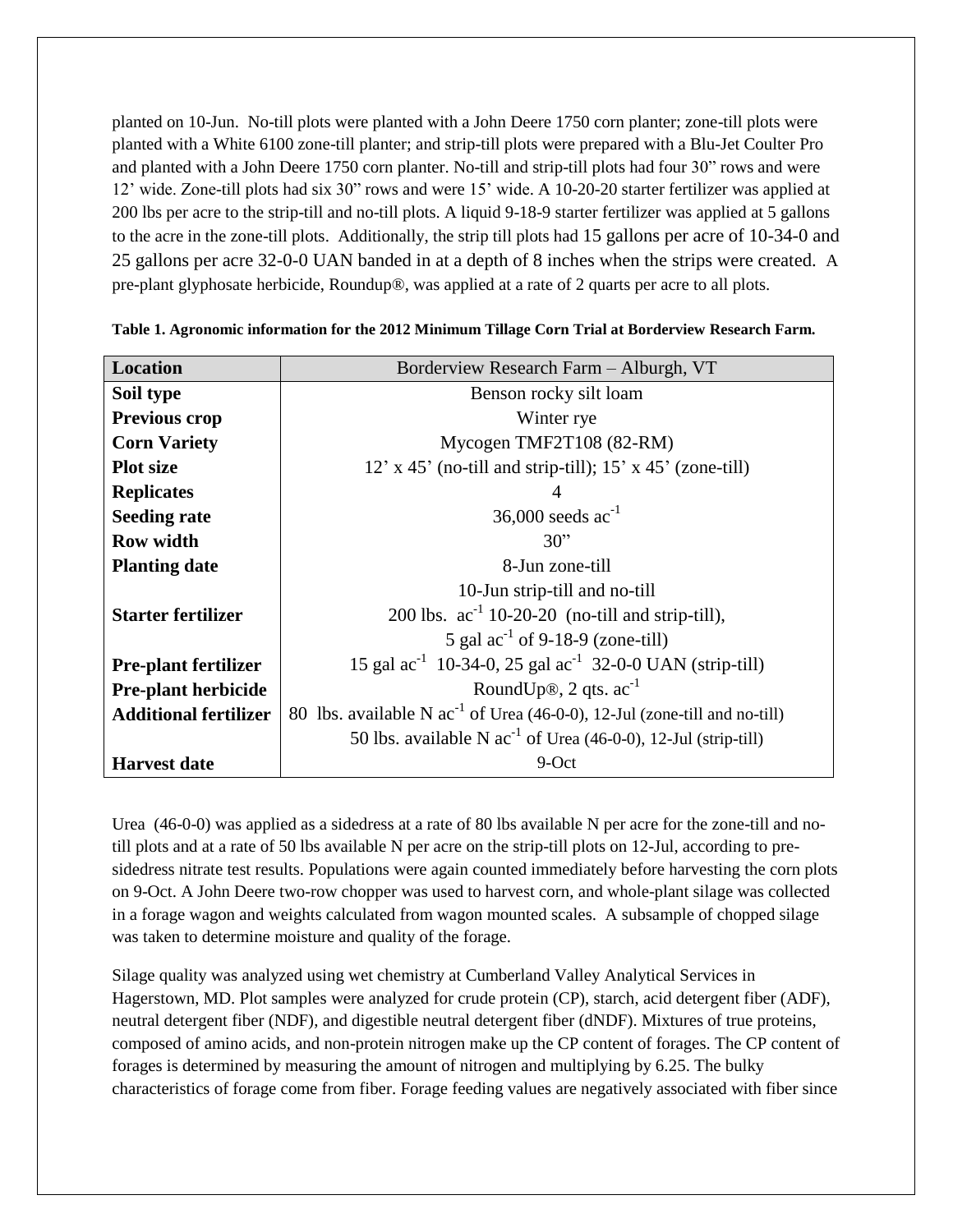planted on 10-Jun. No-till plots were planted with a John Deere 1750 corn planter; zone-till plots were planted with a White 6100 zone-till planter; and strip-till plots were prepared with a Blu-Jet Coulter Pro and planted with a John Deere 1750 corn planter. No-till and strip-till plots had four 30" rows and were 12' wide. Zone-till plots had six 30" rows and were 15' wide. A 10-20-20 starter fertilizer was applied at 200 lbs per acre to the strip-till and no-till plots. A liquid 9-18-9 starter fertilizer was applied at 5 gallons to the acre in the zone-till plots. Additionally, the strip till plots had 15 gallons per acre of 10-34-0 and 25 gallons per acre 32-0-0 UAN banded in at a depth of 8 inches when the strips were created. A pre-plant glyphosate herbicide, Roundup®, was applied at a rate of 2 quarts per acre to all plots.

| <b>Location</b>              | Borderview Research Farm - Alburgh, VT                                         |  |  |  |  |  |  |
|------------------------------|--------------------------------------------------------------------------------|--|--|--|--|--|--|
| Soil type                    | Benson rocky silt loam                                                         |  |  |  |  |  |  |
| <b>Previous crop</b>         | Winter rye                                                                     |  |  |  |  |  |  |
| <b>Corn Variety</b>          | Mycogen TMF2T108 (82-RM)                                                       |  |  |  |  |  |  |
| <b>Plot size</b>             | $12'$ x 45' (no-till and strip-till); $15'$ x 45' (zone-till)                  |  |  |  |  |  |  |
| <b>Replicates</b>            | 4                                                                              |  |  |  |  |  |  |
| <b>Seeding rate</b>          | 36,000 seeds $ac^{-1}$                                                         |  |  |  |  |  |  |
| <b>Row width</b>             | 30"                                                                            |  |  |  |  |  |  |
| <b>Planting date</b>         | 8-Jun zone-till                                                                |  |  |  |  |  |  |
|                              | 10-Jun strip-till and no-till                                                  |  |  |  |  |  |  |
| <b>Starter fertilizer</b>    | 200 lbs. $ac^{-1}$ 10-20-20 (no-till and strip-till),                          |  |  |  |  |  |  |
|                              | 5 gal $ac^{-1}$ of 9-18-9 (zone-till)                                          |  |  |  |  |  |  |
| <b>Pre-plant fertilizer</b>  | 15 gal $ac^{-1}$ 10-34-0, 25 gal $ac^{-1}$ 32-0-0 UAN (strip-till)             |  |  |  |  |  |  |
| <b>Pre-plant herbicide</b>   | RoundUp®, $2$ qts. $ac^{-1}$                                                   |  |  |  |  |  |  |
| <b>Additional fertilizer</b> | 80 lbs. available N $ac^{-1}$ of Urea (46-0-0), 12-Jul (zone-till and no-till) |  |  |  |  |  |  |
|                              | 50 lbs. available N $ac^{-1}$ of Urea (46-0-0), 12-Jul (strip-till)            |  |  |  |  |  |  |
| <b>Harvest date</b>          | 9-Oct                                                                          |  |  |  |  |  |  |

**Table 1. Agronomic information for the 2012 Minimum Tillage Corn Trial at Borderview Research Farm.**

Urea (46-0-0) was applied as a sidedress at a rate of 80 lbs available N per acre for the zone-till and notill plots and at a rate of 50 lbs available N per acre on the strip-till plots on 12-Jul, according to presidedress nitrate test results. Populations were again counted immediately before harvesting the corn plots on 9-Oct. A John Deere two-row chopper was used to harvest corn, and whole-plant silage was collected in a forage wagon and weights calculated from wagon mounted scales. A subsample of chopped silage was taken to determine moisture and quality of the forage.

Silage quality was analyzed using wet chemistry at Cumberland Valley Analytical Services in Hagerstown, MD. Plot samples were analyzed for crude protein (CP), starch, acid detergent fiber (ADF), neutral detergent fiber (NDF), and digestible neutral detergent fiber (dNDF). Mixtures of true proteins, composed of amino acids, and non-protein nitrogen make up the CP content of forages. The CP content of forages is determined by measuring the amount of nitrogen and multiplying by 6.25. The bulky characteristics of forage come from fiber. Forage feeding values are negatively associated with fiber since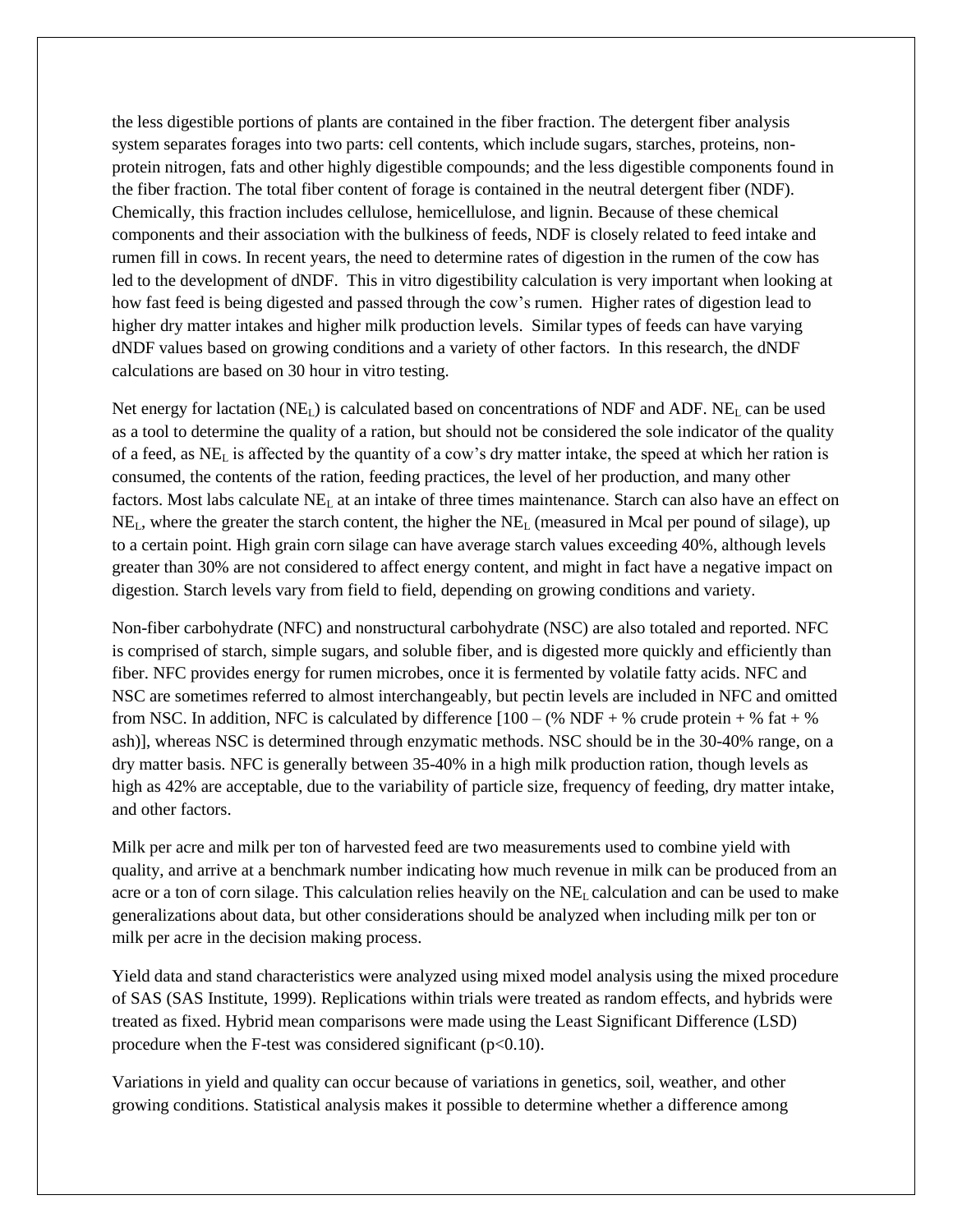the less digestible portions of plants are contained in the fiber fraction. The detergent fiber analysis system separates forages into two parts: cell contents, which include sugars, starches, proteins, nonprotein nitrogen, fats and other highly digestible compounds; and the less digestible components found in the fiber fraction. The total fiber content of forage is contained in the neutral detergent fiber (NDF). Chemically, this fraction includes cellulose, hemicellulose, and lignin. Because of these chemical components and their association with the bulkiness of feeds, NDF is closely related to feed intake and rumen fill in cows. In recent years, the need to determine rates of digestion in the rumen of the cow has led to the development of dNDF. This in vitro digestibility calculation is very important when looking at how fast feed is being digested and passed through the cow's rumen. Higher rates of digestion lead to higher dry matter intakes and higher milk production levels. Similar types of feeds can have varying dNDF values based on growing conditions and a variety of other factors. In this research, the dNDF calculations are based on 30 hour in vitro testing.

Net energy for lactation (NE<sub>L</sub>) is calculated based on concentrations of NDF and ADF. NE<sub>L</sub> can be used as a tool to determine the quality of a ration, but should not be considered the sole indicator of the quality of a feed, as NE<sup>L</sup> is affected by the quantity of a cow's dry matter intake, the speed at which her ration is consumed, the contents of the ration, feeding practices, the level of her production, and many other factors. Most labs calculate  $NE<sub>L</sub>$  at an intake of three times maintenance. Starch can also have an effect on  $NE<sub>L</sub>$ , where the greater the starch content, the higher the  $NE<sub>L</sub>$  (measured in Mcal per pound of silage), up to a certain point. High grain corn silage can have average starch values exceeding 40%, although levels greater than 30% are not considered to affect energy content, and might in fact have a negative impact on digestion. Starch levels vary from field to field, depending on growing conditions and variety.

Non-fiber carbohydrate (NFC) and nonstructural carbohydrate (NSC) are also totaled and reported. NFC is comprised of starch, simple sugars, and soluble fiber, and is digested more quickly and efficiently than fiber. NFC provides energy for rumen microbes, once it is fermented by volatile fatty acids. NFC and NSC are sometimes referred to almost interchangeably, but pectin levels are included in NFC and omitted from NSC. In addition, NFC is calculated by difference  $[100 - (\% \text{ NDF} + \% \text{ crude protein} + \% \text{ fat} + \% \text{ m})]$ ash)], whereas NSC is determined through enzymatic methods. NSC should be in the 30-40% range, on a dry matter basis. NFC is generally between 35-40% in a high milk production ration, though levels as high as 42% are acceptable, due to the variability of particle size, frequency of feeding, dry matter intake, and other factors.

Milk per acre and milk per ton of harvested feed are two measurements used to combine yield with quality, and arrive at a benchmark number indicating how much revenue in milk can be produced from an acre or a ton of corn silage. This calculation relies heavily on the NE<sup>L</sup> calculation and can be used to make generalizations about data, but other considerations should be analyzed when including milk per ton or milk per acre in the decision making process.

Yield data and stand characteristics were analyzed using mixed model analysis using the mixed procedure of SAS (SAS Institute, 1999). Replications within trials were treated as random effects, and hybrids were treated as fixed. Hybrid mean comparisons were made using the Least Significant Difference (LSD) procedure when the F-test was considered significant  $(p<0.10)$ .

Variations in yield and quality can occur because of variations in genetics, soil, weather, and other growing conditions. Statistical analysis makes it possible to determine whether a difference among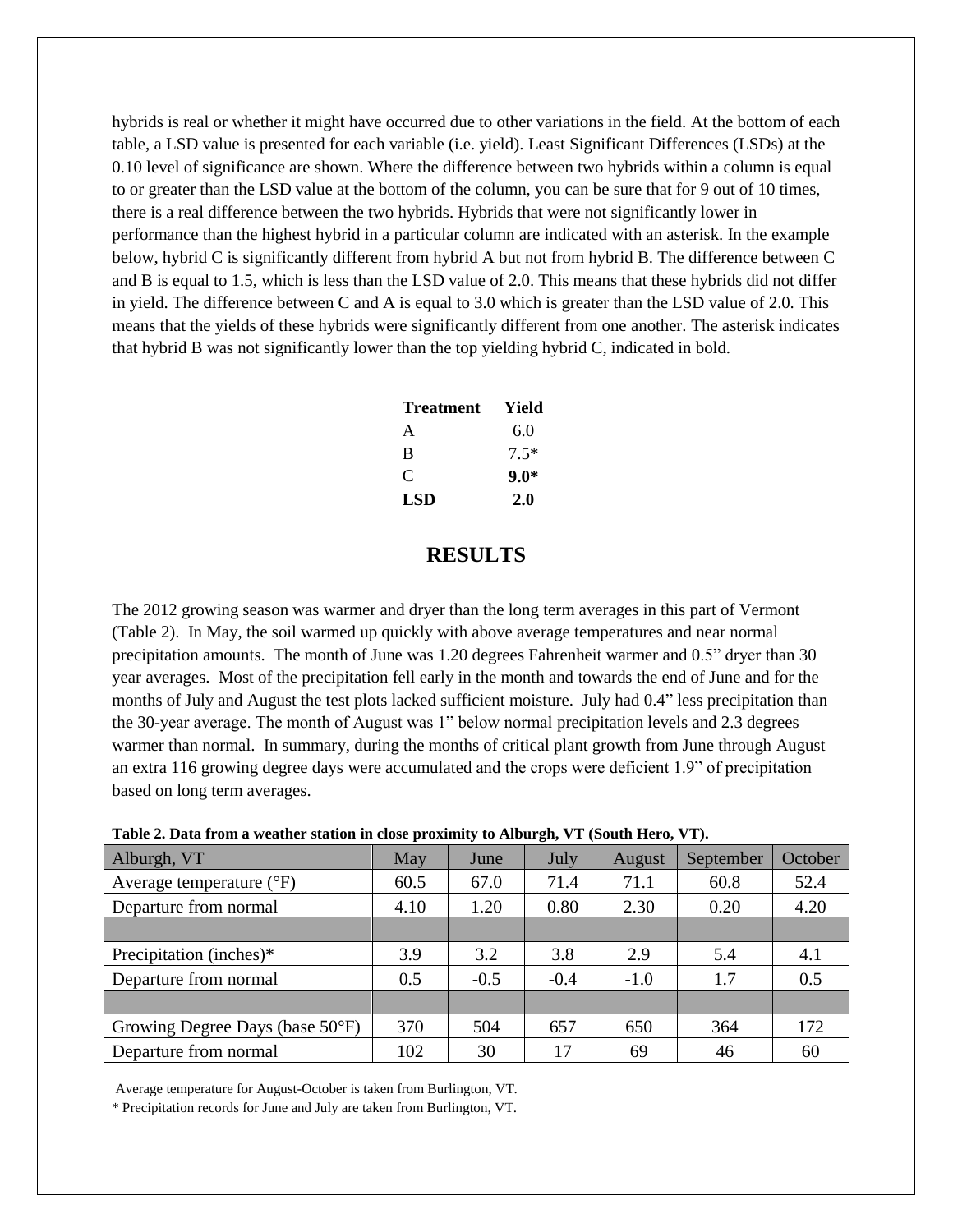hybrids is real or whether it might have occurred due to other variations in the field. At the bottom of each table, a LSD value is presented for each variable (i.e. yield). Least Significant Differences (LSDs) at the 0.10 level of significance are shown. Where the difference between two hybrids within a column is equal to or greater than the LSD value at the bottom of the column, you can be sure that for 9 out of 10 times, there is a real difference between the two hybrids. Hybrids that were not significantly lower in performance than the highest hybrid in a particular column are indicated with an asterisk. In the example below, hybrid C is significantly different from hybrid A but not from hybrid B. The difference between C and B is equal to 1.5, which is less than the LSD value of 2.0. This means that these hybrids did not differ in yield. The difference between C and A is equal to 3.0 which is greater than the LSD value of 2.0. This means that the yields of these hybrids were significantly different from one another. The asterisk indicates that hybrid B was not significantly lower than the top yielding hybrid C, indicated in bold.

| Treatment | Yield  |
|-----------|--------|
| A         | 6.0    |
| B         | $7.5*$ |
| €         | $9.0*$ |
| LSD       | 2.0    |

## **RESULTS**

The 2012 growing season was warmer and dryer than the long term averages in this part of Vermont (Table 2). In May, the soil warmed up quickly with above average temperatures and near normal precipitation amounts. The month of June was 1.20 degrees Fahrenheit warmer and 0.5" dryer than 30 year averages. Most of the precipitation fell early in the month and towards the end of June and for the months of July and August the test plots lacked sufficient moisture. July had 0.4" less precipitation than the 30-year average. The month of August was 1" below normal precipitation levels and 2.3 degrees warmer than normal. In summary, during the months of critical plant growth from June through August an extra 116 growing degree days were accumulated and the crops were deficient 1.9" of precipitation based on long term averages.

| Alburgh, VT                         | May  | June   | July   | August | September | October |
|-------------------------------------|------|--------|--------|--------|-----------|---------|
| Average temperature $({}^{\circ}F)$ | 60.5 | 67.0   | 71.4   | 71.1   | 60.8      | 52.4    |
| Departure from normal               | 4.10 | 1.20   | 0.80   | 2.30   | 0.20      | 4.20    |
|                                     |      |        |        |        |           |         |
| Precipitation (inches)*             | 3.9  | 3.2    | 3.8    | 2.9    | 5.4       | 4.1     |
| Departure from normal               | 0.5  | $-0.5$ | $-0.4$ | $-1.0$ | 1.7       | 0.5     |
|                                     |      |        |        |        |           |         |
| Growing Degree Days (base 50°F)     | 370  | 504    | 657    | 650    | 364       | 172     |
| Departure from normal               | 102  | 30     | 17     | 69     | 46        | 60      |

**Table 2. Data from a weather station in close proximity to Alburgh, VT (South Hero, VT).**

Average temperature for August-October is taken from Burlington, VT.

\* Precipitation records for June and July are taken from Burlington, VT.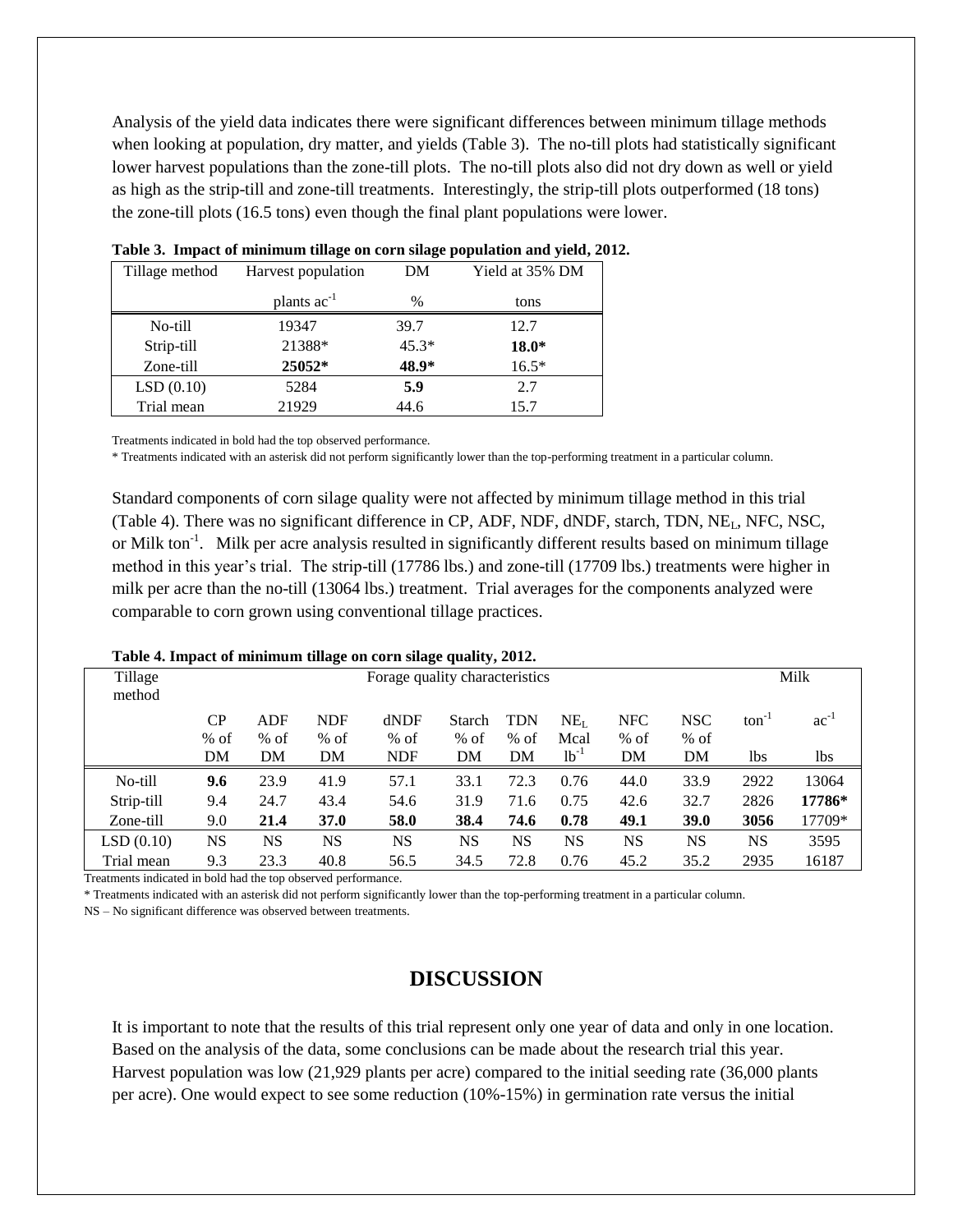Analysis of the yield data indicates there were significant differences between minimum tillage methods when looking at population, dry matter, and yields (Table 3). The no-till plots had statistically significant lower harvest populations than the zone-till plots. The no-till plots also did not dry down as well or yield as high as the strip-till and zone-till treatments. Interestingly, the strip-till plots outperformed (18 tons) the zone-till plots (16.5 tons) even though the final plant populations were lower.

| Tillage method | Harvest population      | DΜ      | Yield at 35% DM |
|----------------|-------------------------|---------|-----------------|
|                | plants ac <sup>-1</sup> | %       | tons            |
| No-till        | 19347                   | 39.7    | 12.7            |
| Strip-till     | 21388*                  | $45.3*$ | $18.0*$         |
| Zone-till      | 25052*                  | 48.9*   | $16.5*$         |
| LSD(0.10)      | 5284                    | 5.9     | 2.7             |
| Trial mean     | 21929                   | 44.6    | 15.7            |

**Table 3. Impact of minimum tillage on corn silage population and yield, 2012.**

Treatments indicated in bold had the top observed performance.

\* Treatments indicated with an asterisk did not perform significantly lower than the top-performing treatment in a particular column.

Standard components of corn silage quality were not affected by minimum tillage method in this trial (Table 4). There was no significant difference in CP, ADF, NDF, dNDF, starch, TDN, NEL, NFC, NSC, or Milk ton<sup>-1</sup>. Milk per acre analysis resulted in significantly different results based on minimum tillage method in this year's trial. The strip-till (17786 lbs.) and zone-till (17709 lbs.) treatments were higher in milk per acre than the no-till (13064 lbs.) treatment. Trial averages for the components analyzed were comparable to corn grown using conventional tillage practices.

| Table 4. Hilpact of minimum unage on corn shage quanty, 2012. |                                |        |            |            |           |            |                 |            |             |            |           |
|---------------------------------------------------------------|--------------------------------|--------|------------|------------|-----------|------------|-----------------|------------|-------------|------------|-----------|
| Tillage<br>method                                             | Forage quality characteristics |        |            |            |           |            |                 |            |             | Milk       |           |
|                                                               | CP                             | ADF    | <b>NDF</b> | dNDF       | Starch    | <b>TDN</b> | NE <sub>I</sub> | <b>NFC</b> | <b>NSC</b>  | $ton^{-1}$ | $ac^{-1}$ |
|                                                               | $%$ of                         | $%$ of | $%$ of     | $%$ of     | $%$ of    | $%$ of     | Mcal            | $%$ of     | $%$ of      |            |           |
|                                                               | DM                             | DM     | DM         | <b>NDF</b> | DM        | DM         | $1b-1$          | DM         | DM          | 1bs        | 1bs       |
| No-till                                                       | 9.6                            | 23.9   | 41.9       | 57.1       | 33.1      | 72.3       | 0.76            | 44.0       | 33.9        | 2922       | 13064     |
| Strip-till                                                    | 9.4                            | 24.7   | 43.4       | 54.6       | 31.9      | 71.6       | 0.75            | 42.6       | 32.7        | 2826       | 17786*    |
| Zone-till                                                     | 9.0                            | 21.4   | 37.0       | 58.0       | 38.4      | 74.6       | 0.78            | 49.1       | <b>39.0</b> | 3056       | 17709*    |
| LSD(0.10)                                                     | NS                             | NS     | NS         | <b>NS</b>  | <b>NS</b> | <b>NS</b>  | <b>NS</b>       | NS         | <b>NS</b>   | <b>NS</b>  | 3595      |
| Trial mean                                                    | 9.3                            | 23.3   | 40.8       | 56.5       | 34.5      | 72.8       | 0.76            | 45.2       | 35.2        | 2935       | 16187     |

**Table 4. Impact of minimum tillage on corn silage quality, 2012.**

Treatments indicated in bold had the top observed performance.

\* Treatments indicated with an asterisk did not perform significantly lower than the top-performing treatment in a particular column.

NS – No significant difference was observed between treatments.

### **DISCUSSION**

It is important to note that the results of this trial represent only one year of data and only in one location. Based on the analysis of the data, some conclusions can be made about the research trial this year. Harvest population was low (21,929 plants per acre) compared to the initial seeding rate (36,000 plants per acre). One would expect to see some reduction (10%-15%) in germination rate versus the initial